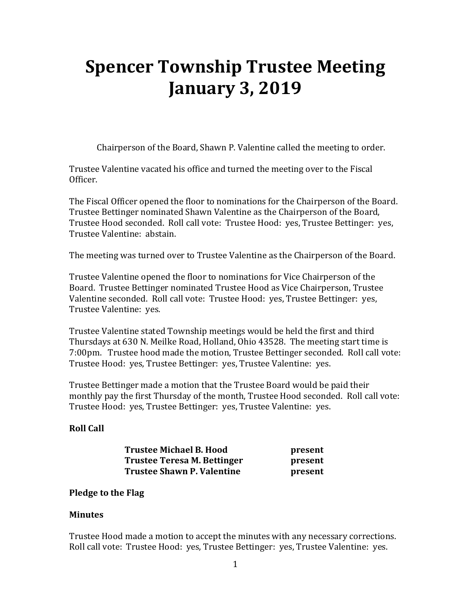# **Spencer Township Trustee Meeting January 3, 2019**

Chairperson of the Board, Shawn P. Valentine called the meeting to order.

Trustee Valentine vacated his office and turned the meeting over to the Fiscal Officer.

The Fiscal Officer opened the floor to nominations for the Chairperson of the Board. Trustee Bettinger nominated Shawn Valentine as the Chairperson of the Board, Trustee Hood seconded. Roll call vote: Trustee Hood: yes, Trustee Bettinger: yes, Trustee Valentine: abstain.

The meeting was turned over to Trustee Valentine as the Chairperson of the Board.

Trustee Valentine opened the floor to nominations for Vice Chairperson of the Board. Trustee Bettinger nominated Trustee Hood as Vice Chairperson, Trustee Valentine seconded. Roll call vote: Trustee Hood: yes, Trustee Bettinger: yes, Trustee Valentine: yes.

Trustee Valentine stated Township meetings would be held the first and third Thursdays at 630 N. Meilke Road, Holland, Ohio 43528. The meeting start time is 7:00pm. Trustee hood made the motion, Trustee Bettinger seconded. Roll call vote: Trustee Hood: yes, Trustee Bettinger: yes, Trustee Valentine: yes.

Trustee Bettinger made a motion that the Trustee Board would be paid their monthly pay the first Thursday of the month, Trustee Hood seconded. Roll call vote: Trustee Hood: yes, Trustee Bettinger: yes, Trustee Valentine: yes.

## **Roll Call**

| <b>Trustee Michael B. Hood</b>    | present |
|-----------------------------------|---------|
| Trustee Teresa M. Bettinger       | present |
| <b>Trustee Shawn P. Valentine</b> | present |

#### **Pledge to the Flag**

#### **Minutes**

Trustee Hood made a motion to accept the minutes with any necessary corrections. Roll call vote: Trustee Hood: yes, Trustee Bettinger: yes, Trustee Valentine: yes.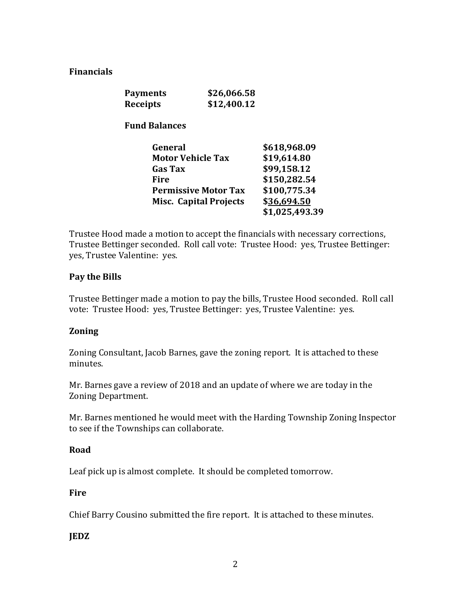### **Financials**

| <b>Payments</b> | \$26,066.58 |
|-----------------|-------------|
| <b>Receipts</b> | \$12,400.12 |

 **Fund Balances** 

| General                       | \$618,968.09   |
|-------------------------------|----------------|
| <b>Motor Vehicle Tax</b>      | \$19,614.80    |
| <b>Gas Tax</b>                | \$99,158.12    |
| Fire                          | \$150,282.54   |
| <b>Permissive Motor Tax</b>   | \$100,775.34   |
| <b>Misc. Capital Projects</b> | \$36,694.50    |
|                               | \$1,025,493.39 |

Trustee Hood made a motion to accept the financials with necessary corrections, Trustee Bettinger seconded. Roll call vote: Trustee Hood: yes, Trustee Bettinger: yes, Trustee Valentine: yes.

#### **Pay the Bills**

Trustee Bettinger made a motion to pay the bills, Trustee Hood seconded. Roll call vote: Trustee Hood: yes, Trustee Bettinger: yes, Trustee Valentine: yes.

#### **Zoning**

Zoning Consultant, Jacob Barnes, gave the zoning report. It is attached to these minutes.

Mr. Barnes gave a review of 2018 and an update of where we are today in the Zoning Department.

Mr. Barnes mentioned he would meet with the Harding Township Zoning Inspector to see if the Townships can collaborate.

#### **Road**

Leaf pick up is almost complete. It should be completed tomorrow.

#### **Fire**

Chief Barry Cousino submitted the fire report. It is attached to these minutes.

## **JEDZ**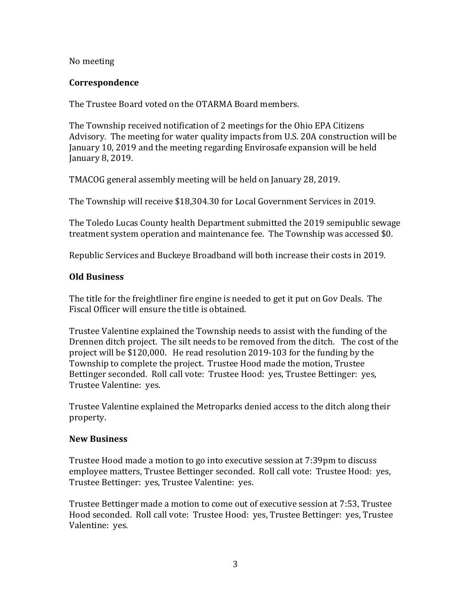#### No meeting

#### **Correspondence**

The Trustee Board voted on the OTARMA Board members.

The Township received notification of 2 meetings for the Ohio EPA Citizens Advisory. The meeting for water quality impacts from U.S. 20A construction will be January 10, 2019 and the meeting regarding Envirosafe expansion will be held January 8, 2019.

TMACOG general assembly meeting will be held on January 28, 2019.

The Township will receive \$18,304.30 for Local Government Services in 2019.

The Toledo Lucas County health Department submitted the 2019 semipublic sewage treatment system operation and maintenance fee. The Township was accessed \$0.

Republic Services and Buckeye Broadband will both increase their costs in 2019.

#### **Old Business**

The title for the freightliner fire engine is needed to get it put on Gov Deals. The Fiscal Officer will ensure the title is obtained.

Trustee Valentine explained the Township needs to assist with the funding of the Drennen ditch project. The silt needs to be removed from the ditch. The cost of the project will be \$120,000. He read resolution 2019-103 for the funding by the Township to complete the project. Trustee Hood made the motion, Trustee Bettinger seconded. Roll call vote: Trustee Hood: yes, Trustee Bettinger: yes, Trustee Valentine: yes.

Trustee Valentine explained the Metroparks denied access to the ditch along their property.

#### **New Business**

Trustee Hood made a motion to go into executive session at 7:39pm to discuss employee matters, Trustee Bettinger seconded. Roll call vote: Trustee Hood: yes, Trustee Bettinger: yes, Trustee Valentine: yes.

Trustee Bettinger made a motion to come out of executive session at 7:53, Trustee Hood seconded. Roll call vote: Trustee Hood: yes, Trustee Bettinger: yes, Trustee Valentine: yes.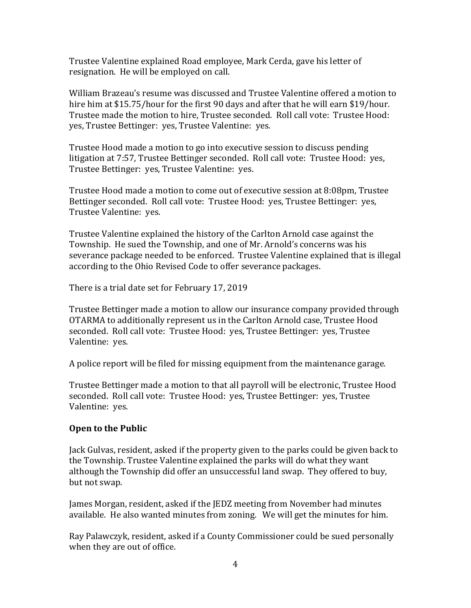Trustee Valentine explained Road employee, Mark Cerda, gave his letter of resignation. He will be employed on call.

William Brazeau's resume was discussed and Trustee Valentine offered a motion to hire him at \$15.75/hour for the first 90 days and after that he will earn \$19/hour. Trustee made the motion to hire, Trustee seconded. Roll call vote: Trustee Hood: yes, Trustee Bettinger: yes, Trustee Valentine: yes.

Trustee Hood made a motion to go into executive session to discuss pending litigation at 7:57, Trustee Bettinger seconded. Roll call vote: Trustee Hood: yes, Trustee Bettinger: yes, Trustee Valentine: yes.

Trustee Hood made a motion to come out of executive session at 8:08pm, Trustee Bettinger seconded. Roll call vote: Trustee Hood: yes, Trustee Bettinger: yes, Trustee Valentine: yes.

Trustee Valentine explained the history of the Carlton Arnold case against the Township. He sued the Township, and one of Mr. Arnold's concerns was his severance package needed to be enforced. Trustee Valentine explained that is illegal according to the Ohio Revised Code to offer severance packages.

There is a trial date set for February 17, 2019

Trustee Bettinger made a motion to allow our insurance company provided through OTARMA to additionally represent us in the Carlton Arnold case, Trustee Hood seconded. Roll call vote: Trustee Hood: yes, Trustee Bettinger: yes, Trustee Valentine: yes.

A police report will be filed for missing equipment from the maintenance garage.

Trustee Bettinger made a motion to that all payroll will be electronic, Trustee Hood seconded. Roll call vote: Trustee Hood: yes, Trustee Bettinger: yes, Trustee Valentine: yes.

#### **Open to the Public**

Jack Gulvas, resident, asked if the property given to the parks could be given back to the Township. Trustee Valentine explained the parks will do what they want although the Township did offer an unsuccessful land swap. They offered to buy, but not swap.

James Morgan, resident, asked if the JEDZ meeting from November had minutes available. He also wanted minutes from zoning. We will get the minutes for him.

Ray Palawczyk, resident, asked if a County Commissioner could be sued personally when they are out of office.